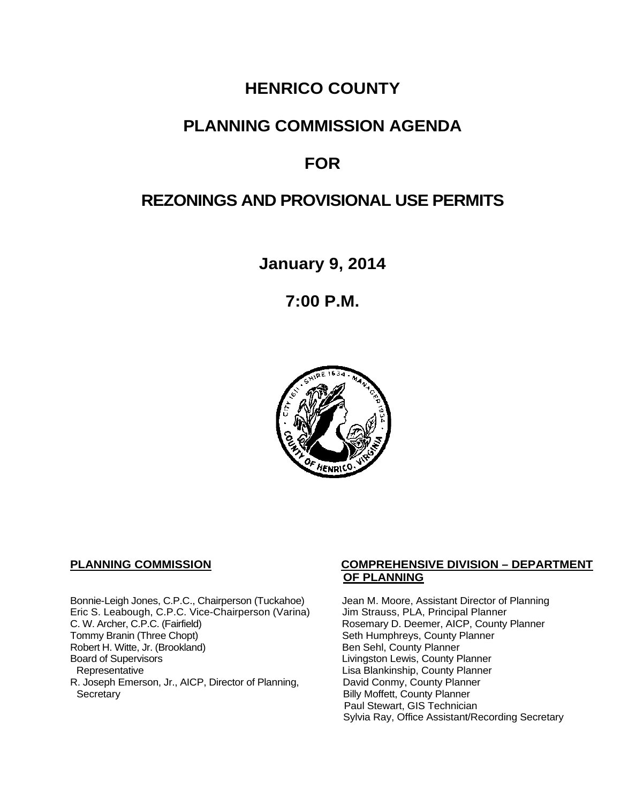## **HENRICO COUNTY**

### **PLANNING COMMISSION AGENDA**

# **FOR**

# **REZONINGS AND PROVISIONAL USE PERMITS**

**January 9, 2014**

**7:00 P.M.**



Bonnie-Leigh Jones, C.P.C., Chairperson (Tuckahoe) Jean M. Moore, Assistant Director of Planning<br>Eric S. Leabough, C.P.C. Vice-Chairperson (Varina) Jim Strauss, PLA, Principal Planner Eric S. Leabough, C.P.C. Vice-Chairperson (Varina)<br>C. W. Archer, C.P.C. (Fairfield) C. W. Archer, C.P.C. (Fairfield) Rosemary D. Deemer, AICP, County Planner<br>Tommy Branin (Three Chopt) Seth Humphreys, County Planner Robert H. Witte, Jr. (Brookland)<br>Board of Supervisors Board of Supervisors<br>
Board of Supervisors<br>
Representative Lisa Blankinship, County Planner R. Joseph Emerson, Jr., AICP, Director of Planning, Secretary

### **PLANNING COMMISSION COMPREHENSIVE DIVISION – DEPARTMENT OF PLANNING**

Seth Humphreys, County Planner<br>Ben Sehl, County Planner Lisa Blankinship, County Planner<br>David Conmy, County Planner **Billy Moffett, County Planner** Paul Stewart, GIS Technician Sylvia Ray, Office Assistant/Recording Secretary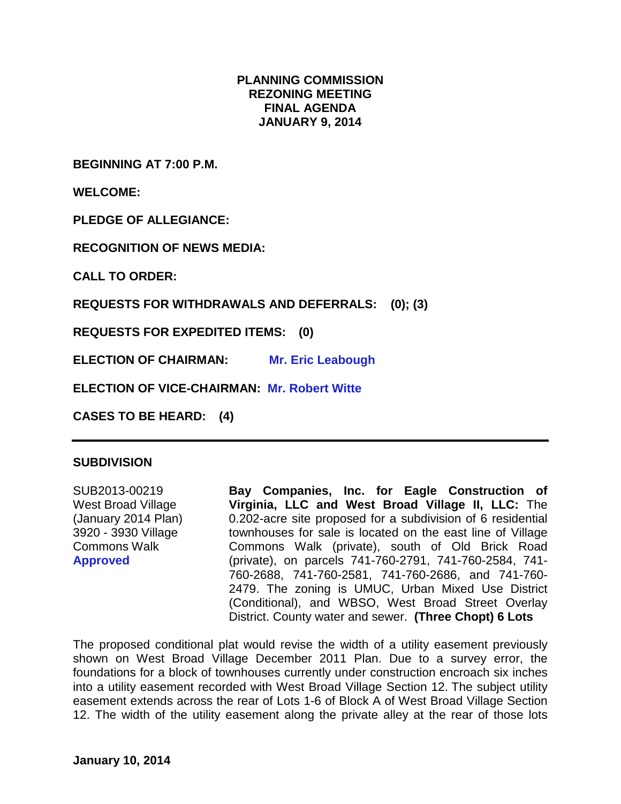### **PLANNING COMMISSION REZONING MEETING FINAL AGENDA JANUARY 9, 2014**

**BEGINNING AT 7:00 P.M.**

**WELCOME:**

**PLEDGE OF ALLEGIANCE:**

**RECOGNITION OF NEWS MEDIA:**

**CALL TO ORDER:**

**REQUESTS FOR WITHDRAWALS AND DEFERRALS: (0); (3)**

**REQUESTS FOR EXPEDITED ITEMS: (0)**

**ELECTION OF CHAIRMAN: Mr. Eric Leabough**

**ELECTION OF VICE-CHAIRMAN: Mr. Robert Witte**

**CASES TO BE HEARD: (4)**

### **SUBDIVISION**

SUB2013-00219 West Broad Village (January 2014 Plan) 3920 - 3930 Village Commons Walk **Approved**

**Bay Companies, Inc. for Eagle Construction of Virginia, LLC and West Broad Village II, LLC:** The 0.202-acre site proposed for a subdivision of 6 residential townhouses for sale is located on the east line of Village Commons Walk (private), south of Old Brick Road (private), on parcels 741-760-2791, 741-760-2584, 741- 760-2688, 741-760-2581, 741-760-2686, and 741-760- 2479. The zoning is UMUC, Urban Mixed Use District (Conditional), and WBSO, West Broad Street Overlay District. County water and sewer. **(Three Chopt) 6 Lots**

The proposed conditional plat would revise the width of a utility easement previously shown on West Broad Village December 2011 Plan. Due to a survey error, the foundations for a block of townhouses currently under construction encroach six inches into a utility easement recorded with West Broad Village Section 12. The subject utility easement extends across the rear of Lots 1-6 of Block A of West Broad Village Section 12. The width of the utility easement along the private alley at the rear of those lots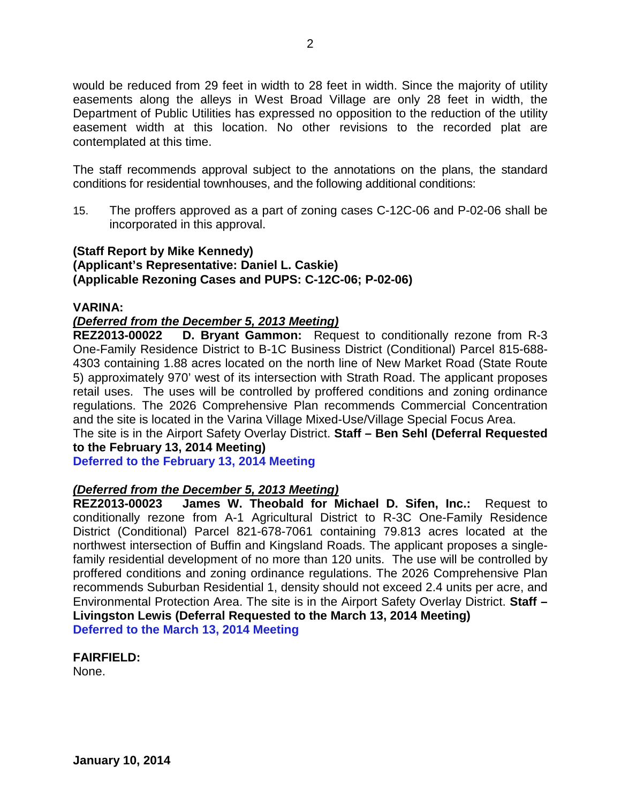would be reduced from 29 feet in width to 28 feet in width. Since the majority of utility easements along the alleys in West Broad Village are only 28 feet in width, the Department of Public Utilities has expressed no opposition to the reduction of the utility easement width at this location. No other revisions to the recorded plat are contemplated at this time.

The staff recommends approval subject to the annotations on the plans, the standard conditions for residential townhouses, and the following additional conditions:

15. The proffers approved as a part of zoning cases C-12C-06 and P-02-06 shall be incorporated in this approval.

### **(Staff Report by Mike Kennedy) (Applicant's Representative: Daniel L. Caskie) (Applicable Rezoning Cases and PUPS: C-12C-06; P-02-06)**

### **VARINA:**

# *(Deferred from the December 5, 2013 Meeting)*

**D. Bryant Gammon:** Request to conditionally rezone from R-3 One-Family Residence District to B-1C Business District (Conditional) Parcel 815-688- 4303 containing 1.88 acres located on the north line of New Market Road (State Route 5) approximately 970' west of its intersection with Strath Road. The applicant proposes retail uses. The uses will be controlled by proffered conditions and zoning ordinance regulations. The 2026 Comprehensive Plan recommends Commercial Concentration and the site is located in the Varina Village Mixed-Use/Village Special Focus Area.

The site is in the Airport Safety Overlay District. **Staff – Ben Sehl (Deferral Requested to the February 13, 2014 Meeting)**

**Deferred to the February 13, 2014 Meeting**

# *(Deferred from the December 5, 2013 Meeting)*

**James W. Theobald for Michael D. Sifen, Inc.: Request to** conditionally rezone from A-1 Agricultural District to R-3C One-Family Residence District (Conditional) Parcel 821-678-7061 containing 79.813 acres located at the northwest intersection of Buffin and Kingsland Roads. The applicant proposes a singlefamily residential development of no more than 120 units. The use will be controlled by proffered conditions and zoning ordinance regulations. The 2026 Comprehensive Plan recommends Suburban Residential 1, density should not exceed 2.4 units per acre, and Environmental Protection Area. The site is in the Airport Safety Overlay District. **Staff – Livingston Lewis (Deferral Requested to the March 13, 2014 Meeting) Deferred to the March 13, 2014 Meeting**

**FAIRFIELD:** None.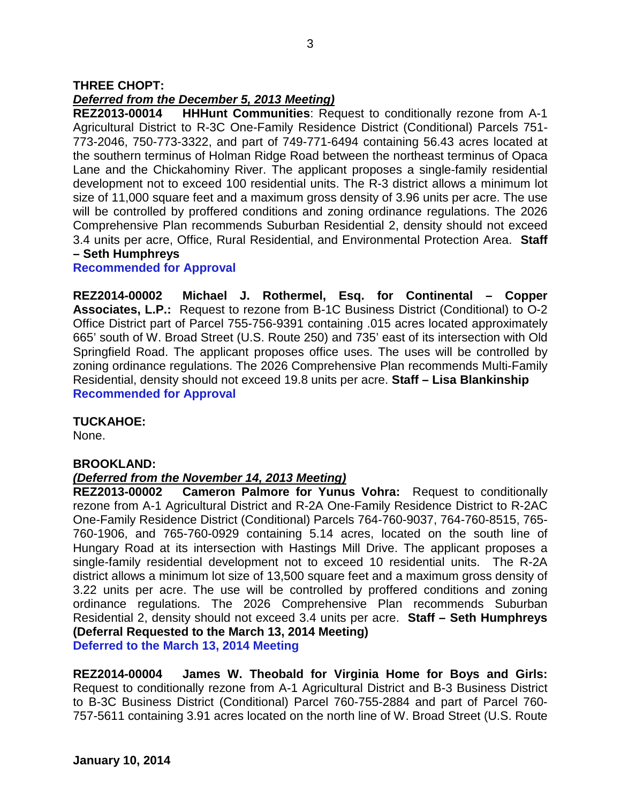### **THREE CHOPT:**

### *Deferred from the December 5, 2013 Meeting)*

**REZ2013-00014 HHHunt Communities**: Request to conditionally rezone from A-1 Agricultural District to R-3C One-Family Residence District (Conditional) Parcels 751- 773-2046, 750-773-3322, and part of 749-771-6494 containing 56.43 acres located at the southern terminus of Holman Ridge Road between the northeast terminus of Opaca Lane and the Chickahominy River. The applicant proposes a single-family residential development not to exceed 100 residential units. The R-3 district allows a minimum lot size of 11,000 square feet and a maximum gross density of 3.96 units per acre. The use will be controlled by proffered conditions and zoning ordinance regulations. The 2026 Comprehensive Plan recommends Suburban Residential 2, density should not exceed 3.4 units per acre, Office, Rural Residential, and Environmental Protection Area. **Staff – Seth Humphreys**

#### **Recommended for Approval**

**REZ2014-00002 Michael J. Rothermel, Esq. for Continental – Copper Associates, L.P.:** Request to rezone from B-1C Business District (Conditional) to O-2 Office District part of Parcel 755-756-9391 containing .015 acres located approximately 665' south of W. Broad Street (U.S. Route 250) and 735' east of its intersection with Old Springfield Road. The applicant proposes office uses. The uses will be controlled by zoning ordinance regulations. The 2026 Comprehensive Plan recommends Multi-Family Residential, density should not exceed 19.8 units per acre. **Staff – Lisa Blankinship Recommended for Approval**

### **TUCKAHOE:**

None.

### **BROOKLAND:**

### *(Deferred from the November 14, 2013 Meeting)*

**REZ2013-00002 Cameron Palmore for Yunus Vohra:** Request to conditionally rezone from A-1 Agricultural District and R-2A One-Family Residence District to R-2AC One-Family Residence District (Conditional) Parcels 764-760-9037, 764-760-8515, 765- 760-1906, and 765-760-0929 containing 5.14 acres, located on the south line of Hungary Road at its intersection with Hastings Mill Drive. The applicant proposes a single-family residential development not to exceed 10 residential units. The R-2A district allows a minimum lot size of 13,500 square feet and a maximum gross density of 3.22 units per acre. The use will be controlled by proffered conditions and zoning ordinance regulations. The 2026 Comprehensive Plan recommends Suburban Residential 2, density should not exceed 3.4 units per acre. **Staff – Seth Humphreys (Deferral Requested to the March 13, 2014 Meeting)**

**Deferred to the March 13, 2014 Meeting**

**REZ2014-00004 James W. Theobald for Virginia Home for Boys and Girls:** Request to conditionally rezone from A-1 Agricultural District and B-3 Business District to B-3C Business District (Conditional) Parcel 760-755-2884 and part of Parcel 760- 757-5611 containing 3.91 acres located on the north line of W. Broad Street (U.S. Route